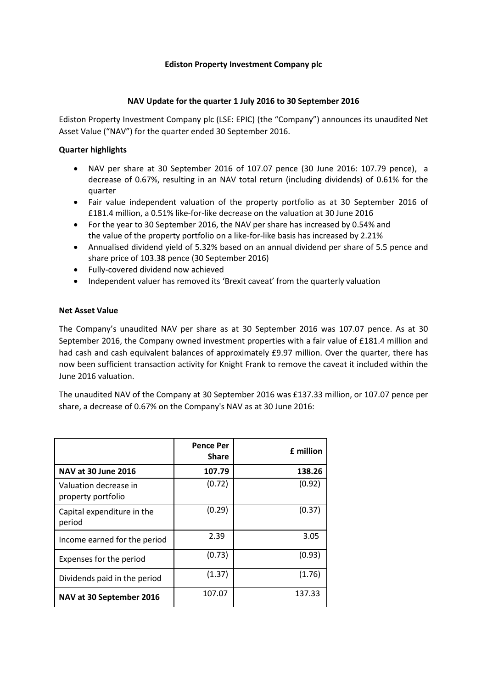## **Ediston Property Investment Company plc**

## **NAV Update for the quarter 1 July 2016 to 30 September 2016**

Ediston Property Investment Company plc (LSE: EPIC) (the "Company") announces its unaudited Net Asset Value ("NAV") for the quarter ended 30 September 2016.

# **Quarter highlights**

- NAV per share at 30 September 2016 of 107.07 pence (30 June 2016: 107.79 pence), a decrease of 0.67%, resulting in an NAV total return (including dividends) of 0.61% for the quarter
- Fair value independent valuation of the property portfolio as at 30 September 2016 of £181.4 million, a 0.51% like-for-like decrease on the valuation at 30 June 2016
- For the year to 30 September 2016, the NAV per share has increased by 0.54% and the value of the property portfolio on a like-for-like basis has increased by 2.21%
- Annualised dividend yield of 5.32% based on an annual dividend per share of 5.5 pence and share price of 103.38 pence (30 September 2016)
- Fully-covered dividend now achieved
- Independent valuer has removed its 'Brexit caveat' from the quarterly valuation

## **Net Asset Value**

The Company's unaudited NAV per share as at 30 September 2016 was 107.07 pence. As at 30 September 2016, the Company owned investment properties with a fair value of £181.4 million and had cash and cash equivalent balances of approximately £9.97 million. Over the quarter, there has now been sufficient transaction activity for Knight Frank to remove the caveat it included within the June 2016 valuation.

The unaudited NAV of the Company at 30 September 2016 was £137.33 million, or 107.07 pence per share, a decrease of 0.67% on the Company's NAV as at 30 June 2016:

|                                             | <b>Pence Per</b><br><b>Share</b> | £ million |
|---------------------------------------------|----------------------------------|-----------|
| <b>NAV at 30 June 2016</b>                  | 107.79                           | 138.26    |
| Valuation decrease in<br>property portfolio | (0.72)                           | (0.92)    |
| Capital expenditure in the<br>period        | (0.29)                           | (0.37)    |
| Income earned for the period                | 2.39                             | 3.05      |
| Expenses for the period                     | (0.73)                           | (0.93)    |
| Dividends paid in the period                | (1.37)                           | (1.76)    |
| NAV at 30 September 2016                    | 107.07                           | 137.33    |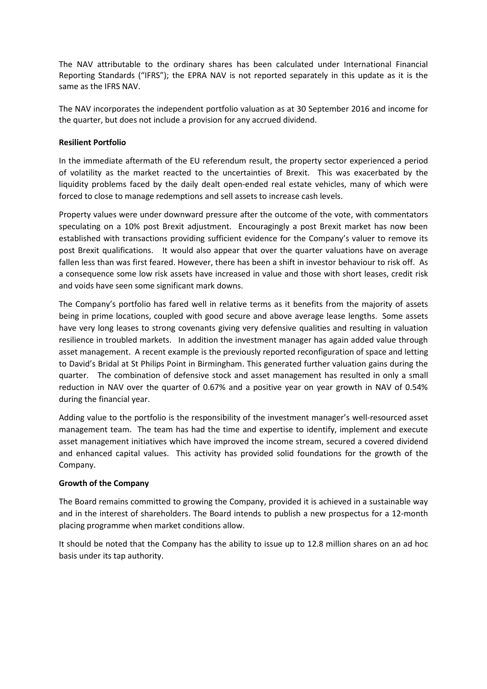The NAV attributable to the ordinary shares has been calculated under International Financial Reporting Standards ("IFRS"); the EPRA NAV is not reported separately in this update as it is the same as the IFRS NAV.

The NAV incorporates the independent portfolio valuation as at 30 September 2016 and income for the quarter, but does not include a provision for any accrued dividend.

# **Resilient Portfolio**

In the immediate aftermath of the EU referendum result, the property sector experienced a period of volatility as the market reacted to the uncertainties of Brexit. This was exacerbated by the liquidity problems faced by the daily dealt open-ended real estate vehicles, many of which were forced to close to manage redemptions and sell assets to increase cash levels.

Property values were under downward pressure after the outcome of the vote, with commentators speculating on a 10% post Brexit adjustment. Encouragingly a post Brexit market has now been established with transactions providing sufficient evidence for the Company's valuer to remove its post Brexit qualifications. It would also appear that over the quarter valuations have on average fallen less than was first feared. However, there has been a shift in investor behaviour to risk off. As a consequence some low risk assets have increased in value and those with short leases, credit risk and voids have seen some significant mark downs.

The Company's portfolio has fared well in relative terms as it benefits from the majority of assets being in prime locations, coupled with good secure and above average lease lengths. Some assets have very long leases to strong covenants giving very defensive qualities and resulting in valuation resilience in troubled markets. In addition the investment manager has again added value through asset management. A recent example is the previously reported reconfiguration of space and letting to David's Bridal at St Philips Point in Birmingham. This generated further valuation gains during the quarter. The combination of defensive stock and asset management has resulted in only a small reduction in NAV over the quarter of 0.67% and a positive year on year growth in NAV of 0.54% during the financial year.

Adding value to the portfolio is the responsibility of the investment manager's well-resourced asset management team. The team has had the time and expertise to identify, implement and execute asset management initiatives which have improved the income stream, secured a covered dividend and enhanced capital values. This activity has provided solid foundations for the growth of the Company.

# **Growth of the Company**

The Board remains committed to growing the Company, provided it is achieved in a sustainable way and in the interest of shareholders. The Board intends to publish a new prospectus for a 12-month placing programme when market conditions allow.

It should be noted that the Company has the ability to issue up to 12.8 million shares on an ad hoc basis under its tap authority.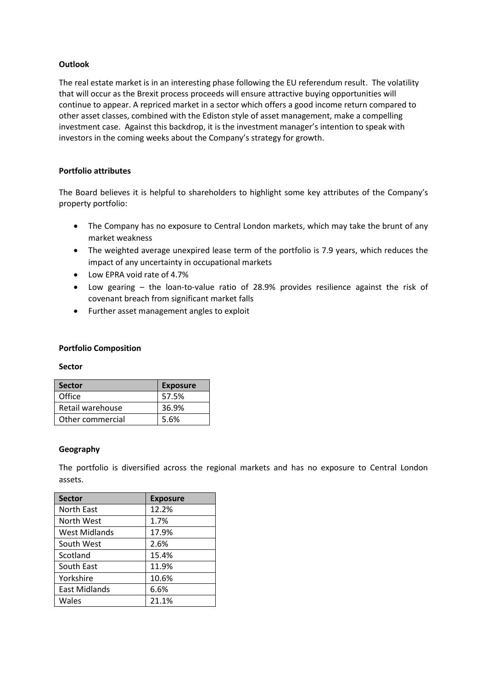## **Outlook**

The real estate market is in an interesting phase following the EU referendum result. The volatility that will occur as the Brexit process proceeds will ensure attractive buying opportunities will continue to appear. A repriced market in a sector which offers a good income return compared to other asset classes, combined with the Ediston style of asset management, make a compelling investment case. Against this backdrop, it is the investment manager's intention to speak with investors in the coming weeks about the Company's strategy for growth.

## **Portfolio attributes**

The Board believes it is helpful to shareholders to highlight some key attributes of the Company's property portfolio:

- The Company has no exposure to Central London markets, which may take the brunt of any market weakness
- The weighted average unexpired lease term of the portfolio is 7.9 years, which reduces the impact of any uncertainty in occupational markets
- Low EPRA void rate of 4.7%
- Low gearing the loan-to-value ratio of 28.9% provides resilience against the risk of covenant breach from significant market falls
- Further asset management angles to exploit

## **Portfolio Composition**

#### **Sector**

| <b>Sector</b>    | <b>Exposure</b> |
|------------------|-----------------|
| Office           | 57.5%           |
| Retail warehouse | 36.9%           |
| Other commercial | 5.6%            |

#### **Geography**

The portfolio is diversified across the regional markets and has no exposure to Central London assets.

| <b>Sector</b> | <b>Exposure</b> |
|---------------|-----------------|
| North East    | 12.2%           |
| North West    | 1.7%            |
| West Midlands | 17.9%           |
| South West    | 2.6%            |
| Scotland      | 15.4%           |
| South East    | 11.9%           |
| Yorkshire     | 10.6%           |
| East Midlands | 6.6%            |
| Wales         | 21.1%           |